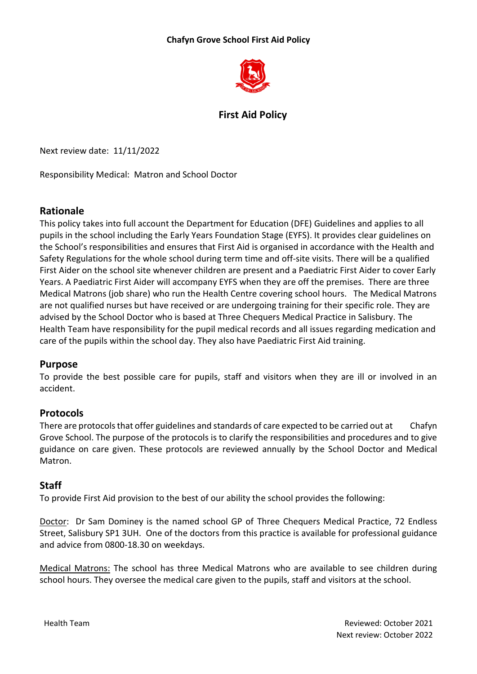### **Chafyn Grove School First Aid Policy**



# **First Aid Policy**

Next review date: 11/11/2022

Responsibility Medical: Matron and School Doctor

## **Rationale**

This policy takes into full account the Department for Education (DFE) Guidelines and applies to all pupils in the school including the Early Years Foundation Stage (EYFS). It provides clear guidelines on the School's responsibilities and ensures that First Aid is organised in accordance with the Health and Safety Regulations for the whole school during term time and off-site visits. There will be a qualified First Aider on the school site whenever children are present and a Paediatric First Aider to cover Early Years. A Paediatric First Aider will accompany EYFS when they are off the premises. There are three Medical Matrons (job share) who run the Health Centre covering school hours. The Medical Matrons are not qualified nurses but have received or are undergoing training for their specific role. They are advised by the School Doctor who is based at Three Chequers Medical Practice in Salisbury. The Health Team have responsibility for the pupil medical records and all issues regarding medication and care of the pupils within the school day. They also have Paediatric First Aid training.

#### **Purpose**

To provide the best possible care for pupils, staff and visitors when they are ill or involved in an accident.

#### **Protocols**

There are protocols that offer guidelines and standards of care expected to be carried out at Chafyn Grove School. The purpose of the protocols is to clarify the responsibilities and procedures and to give guidance on care given. These protocols are reviewed annually by the School Doctor and Medical Matron.

## **Staff**

To provide First Aid provision to the best of our ability the school provides the following:

Doctor: Dr Sam Dominey is the named school GP of Three Chequers Medical Practice, 72 Endless Street, Salisbury SP1 3UH. One of the doctors from this practice is available for professional guidance and advice from 0800-18.30 on weekdays.

Medical Matrons: The school has three Medical Matrons who are available to see children during school hours. They oversee the medical care given to the pupils, staff and visitors at the school.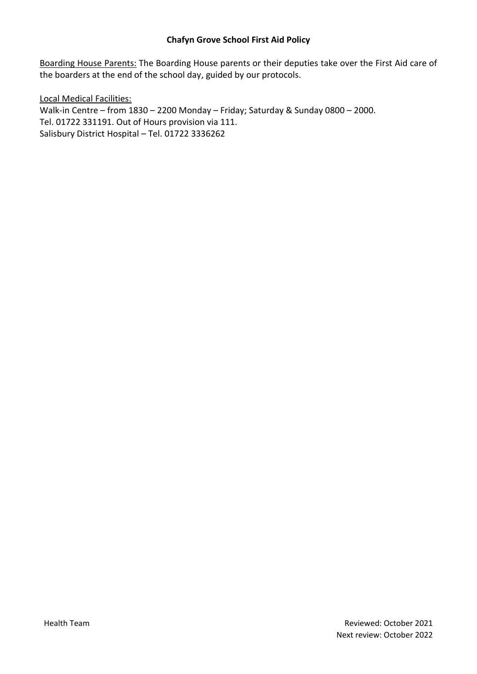#### **Chafyn Grove School First Aid Policy**

Boarding House Parents: The Boarding House parents or their deputies take over the First Aid care of the boarders at the end of the school day, guided by our protocols.

Local Medical Facilities: Walk-in Centre – from 1830 – 2200 Monday – Friday; Saturday & Sunday 0800 – 2000. Tel. 01722 331191. Out of Hours provision via 111. Salisbury District Hospital – Tel. 01722 3336262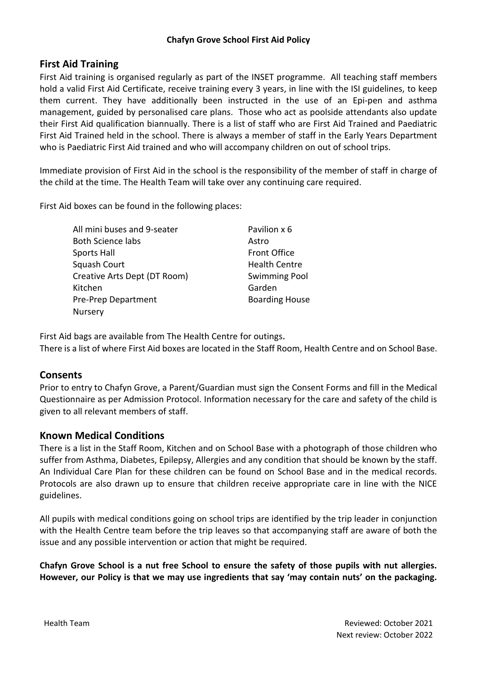## **First Aid Training**

First Aid training is organised regularly as part of the INSET programme. All teaching staff members hold a valid First Aid Certificate, receive training every 3 years, in line with the ISI guidelines, to keep them current. They have additionally been instructed in the use of an Epi-pen and asthma management, guided by personalised care plans. Those who act as poolside attendants also update their First Aid qualification biannually. There is a list of staff who are First Aid Trained and Paediatric First Aid Trained held in the school. There is always a member of staff in the Early Years Department who is Paediatric First Aid trained and who will accompany children on out of school trips.

Immediate provision of First Aid in the school is the responsibility of the member of staff in charge of the child at the time. The Health Team will take over any continuing care required.

First Aid boxes can be found in the following places:

All mini buses and 9-seater **Pavilion x 6** Both Science labs Astro Sports Hall **Sports Hall Front Office** Squash Court **Exercise Exercise Court** Health Centre Creative Arts Dept (DT Room) Swimming Pool Kitchen Garden Pre-Prep Department Boarding House Nursery

First Aid bags are available from The Health Centre for outings. There is a list of where First Aid boxes are located in the Staff Room, Health Centre and on School Base.

#### **Consents**

Prior to entry to Chafyn Grove, a Parent/Guardian must sign the Consent Forms and fill in the Medical Questionnaire as per Admission Protocol. Information necessary for the care and safety of the child is given to all relevant members of staff.

#### **Known Medical Conditions**

There is a list in the Staff Room, Kitchen and on School Base with a photograph of those children who suffer from Asthma, Diabetes, Epilepsy, Allergies and any condition that should be known by the staff. An Individual Care Plan for these children can be found on School Base and in the medical records. Protocols are also drawn up to ensure that children receive appropriate care in line with the NICE guidelines.

All pupils with medical conditions going on school trips are identified by the trip leader in conjunction with the Health Centre team before the trip leaves so that accompanying staff are aware of both the issue and any possible intervention or action that might be required.

**Chafyn Grove School is a nut free School to ensure the safety of those pupils with nut allergies. However, our Policy is that we may use ingredients that say 'may contain nuts' on the packaging.**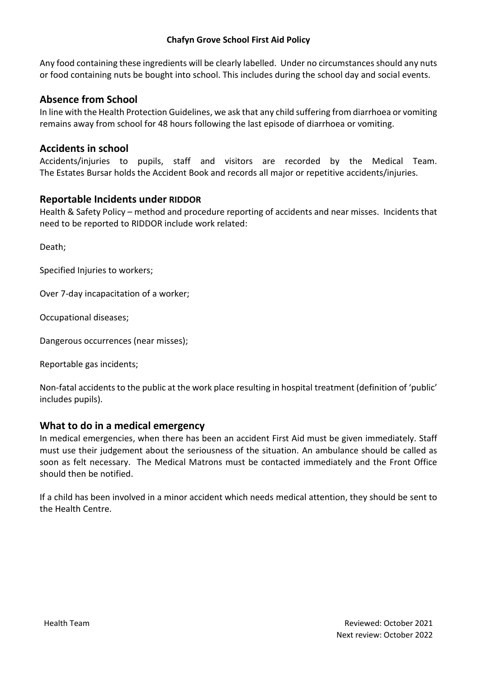#### **Chafyn Grove School First Aid Policy**

Any food containing these ingredients will be clearly labelled. Under no circumstances should any nuts or food containing nuts be bought into school. This includes during the school day and social events.

## **Absence from School**

In line with the Health Protection Guidelines, we ask that any child suffering from diarrhoea or vomiting remains away from school for 48 hours following the last episode of diarrhoea or vomiting.

## **Accidents in school**

Accidents/injuries to pupils, staff and visitors are recorded by the Medical Team. The Estates Bursar holds the Accident Book and records all major or repetitive accidents/injuries.

#### **Reportable Incidents under RIDDOR**

Health & Safety Policy – method and procedure reporting of accidents and near misses. Incidents that need to be reported to RIDDOR include work related:

Death;

Specified Injuries to workers;

Over 7-day incapacitation of a worker;

Occupational diseases;

Dangerous occurrences (near misses);

Reportable gas incidents;

Non-fatal accidents to the public at the work place resulting in hospital treatment (definition of 'public' includes pupils).

#### **What to do in a medical emergency**

In medical emergencies, when there has been an accident First Aid must be given immediately. Staff must use their judgement about the seriousness of the situation. An ambulance should be called as soon as felt necessary. The Medical Matrons must be contacted immediately and the Front Office should then be notified.

If a child has been involved in a minor accident which needs medical attention, they should be sent to the Health Centre.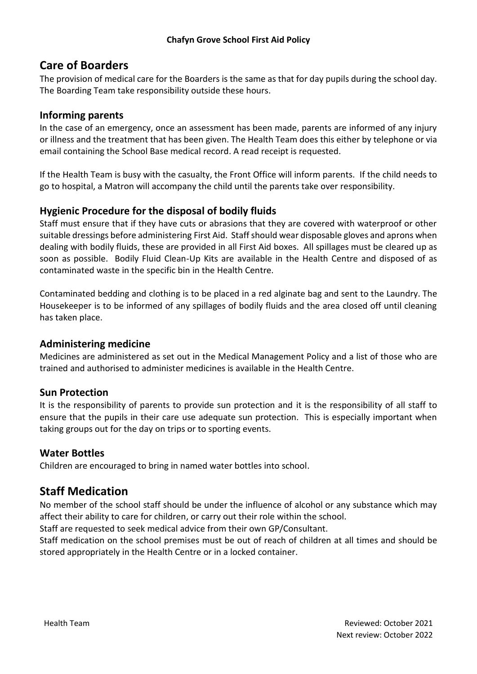# **Care of Boarders**

The provision of medical care for the Boarders is the same as that for day pupils during the school day. The Boarding Team take responsibility outside these hours.

## **Informing parents**

In the case of an emergency, once an assessment has been made, parents are informed of any injury or illness and the treatment that has been given. The Health Team does this either by telephone or via email containing the School Base medical record. A read receipt is requested.

If the Health Team is busy with the casualty, the Front Office will inform parents. If the child needs to go to hospital, a Matron will accompany the child until the parents take over responsibility.

## **Hygienic Procedure for the disposal of bodily fluids**

Staff must ensure that if they have cuts or abrasions that they are covered with waterproof or other suitable dressings before administering First Aid. Staff should wear disposable gloves and aprons when dealing with bodily fluids, these are provided in all First Aid boxes. All spillages must be cleared up as soon as possible. Bodily Fluid Clean-Up Kits are available in the Health Centre and disposed of as contaminated waste in the specific bin in the Health Centre.

Contaminated bedding and clothing is to be placed in a red alginate bag and sent to the Laundry. The Housekeeper is to be informed of any spillages of bodily fluids and the area closed off until cleaning has taken place.

## **Administering medicine**

Medicines are administered as set out in the Medical Management Policy and a list of those who are trained and authorised to administer medicines is available in the Health Centre.

## **Sun Protection**

It is the responsibility of parents to provide sun protection and it is the responsibility of all staff to ensure that the pupils in their care use adequate sun protection. This is especially important when taking groups out for the day on trips or to sporting events.

## **Water Bottles**

Children are encouraged to bring in named water bottles into school.

# **Staff Medication**

No member of the school staff should be under the influence of alcohol or any substance which may affect their ability to care for children, or carry out their role within the school.

Staff are requested to seek medical advice from their own GP/Consultant.

Staff medication on the school premises must be out of reach of children at all times and should be stored appropriately in the Health Centre or in a locked container.